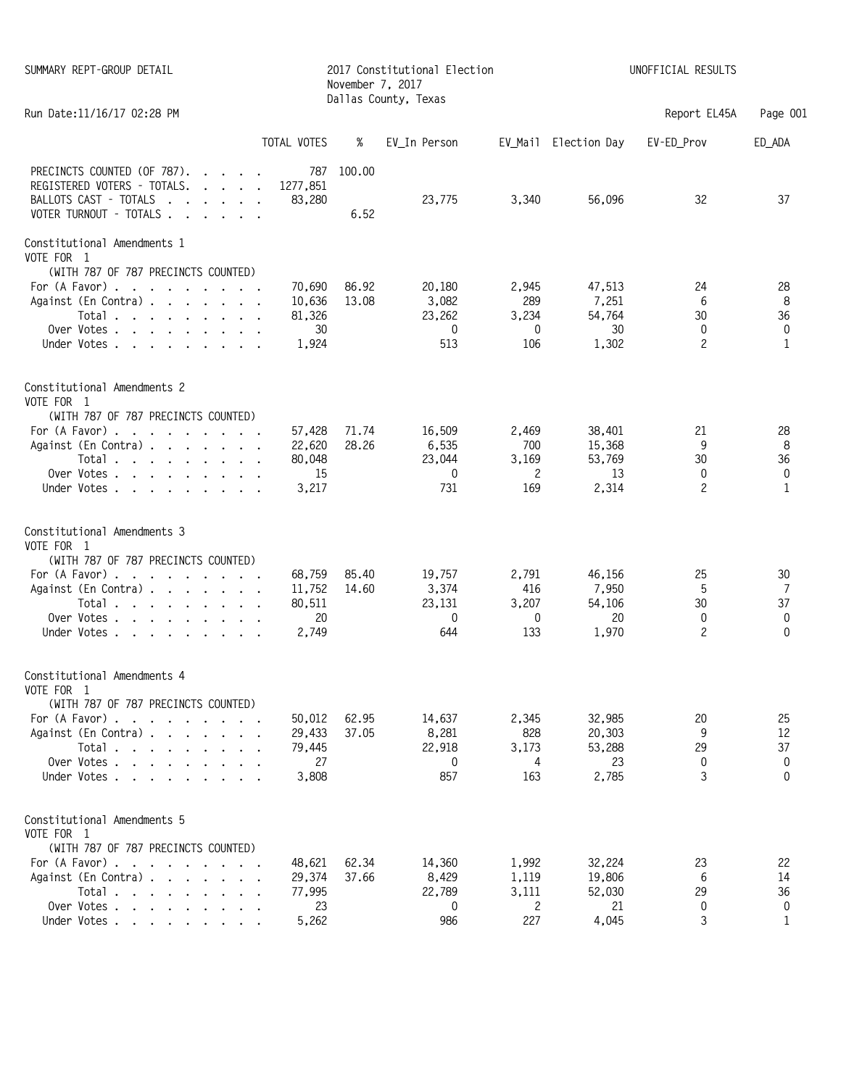| SUMMARY REPT-GROUP DETAIL                                                                                                                                                                                                       |                                           | November 7, 2017 | 2017 Constitutional Election<br>Dallas County, Texas |                                                       | UNOFFICIAL RESULTS                        |                                      |                                    |  |
|---------------------------------------------------------------------------------------------------------------------------------------------------------------------------------------------------------------------------------|-------------------------------------------|------------------|------------------------------------------------------|-------------------------------------------------------|-------------------------------------------|--------------------------------------|------------------------------------|--|
| Run Date: 11/16/17 02:28 PM                                                                                                                                                                                                     |                                           |                  |                                                      |                                                       |                                           | Report EL45A                         | Page 001                           |  |
| TOTAL VOTES                                                                                                                                                                                                                     |                                           | %                | EV_In Person                                         |                                                       | EV_Mail Election Day                      | EV-ED_Prov                           | ED_ADA                             |  |
| PRECINCTS COUNTED (OF 787).<br>REGISTERED VOTERS - TOTALS.<br>BALLOTS CAST - TOTALS<br>$\mathbf{r}$ . The set of $\mathbf{r}$<br>VOTER TURNOUT - TOTALS                                                                         | 787<br>1277,851<br>83,280                 | 100.00<br>6.52   | 23,775                                               | 3,340                                                 | 56,096                                    | 32                                   | 37                                 |  |
| Constitutional Amendments 1<br>VOTE FOR 1                                                                                                                                                                                       |                                           |                  |                                                      |                                                       |                                           |                                      |                                    |  |
| (WITH 787 OF 787 PRECINCTS COUNTED)<br>For (A Favor)<br>Against (En Contra)<br>Total<br>Over Votes $\cdots$ $\cdots$ $\cdots$ $\cdots$<br>Under Votes                                                                           | 70,690<br>10,636<br>81,326<br>30<br>1,924 | 86.92<br>13.08   | 20,180<br>3,082<br>23,262<br>0<br>513                | 2,945<br>289<br>3,234<br>0<br>106                     | 47,513<br>7,251<br>54,764<br>30<br>1,302  | 24<br>6<br>30<br>0<br>2              | 28<br>8<br>36<br>0<br>$\mathbf{1}$ |  |
| Constitutional Amendments 2<br>VOTE FOR 1                                                                                                                                                                                       |                                           |                  |                                                      |                                                       |                                           |                                      |                                    |  |
| (WITH 787 OF 787 PRECINCTS COUNTED)<br>For $(A$ Favor) $\cdot \cdot \cdot \cdot \cdot \cdot \cdot$<br>Against (En Contra)<br>Total $\cdots$ $\cdots$ $\cdots$<br>Over Votes<br>Under Votes                                      | 57,428<br>22,620<br>80,048<br>15<br>3,217 | 71.74<br>28.26   | 16,509<br>6,535<br>23,044<br>0<br>731                | 2,469<br>700<br>3,169<br>$\mathbf{2}^{\prime}$<br>169 | 38,401<br>15,368<br>53,769<br>13<br>2,314 | 21<br>9<br>30<br>0<br>2              | 28<br>8<br>36<br>0<br>1            |  |
| Constitutional Amendments 3<br>VOTE FOR 1                                                                                                                                                                                       |                                           |                  |                                                      |                                                       |                                           |                                      |                                    |  |
| (WITH 787 OF 787 PRECINCTS COUNTED)<br>For (A Favor)<br>Against (En Contra)<br>Total<br>Over Votes $\cdots$ $\cdots$ $\cdots$ $\cdots$<br>Under Votes                                                                           | 68,759<br>11,752<br>80,511<br>20<br>2,749 | 85.40<br>14.60   | 19,757<br>3,374<br>23,131<br>0<br>644                | 2,791<br>416<br>3,207<br>0<br>133                     | 46,156<br>7,950<br>54,106<br>20<br>1,970  | 25<br>5<br>30<br>0<br>$\overline{c}$ | 30<br>7<br>37<br>0<br>$\Omega$     |  |
| Constitutional Amendments 4<br>VOTE FOR 1                                                                                                                                                                                       |                                           |                  |                                                      |                                                       |                                           |                                      |                                    |  |
| (WITH 787 OF 787 PRECINCTS COUNTED)<br>For $(A$ Favor) $\ldots$ $\ldots$ $\ldots$ $\ldots$<br>Against (En Contra)<br>Total<br>Over Votes<br>Under Votes                                                                         | 50,012<br>29,433<br>79,445<br>27<br>3,808 | 62.95<br>37.05   | 14,637<br>8,281<br>22,918<br>0<br>857                | 2,345<br>828<br>3,173<br>4<br>163                     | 32,985<br>20,303<br>53,288<br>23<br>2,785 | 20<br>9<br>29<br>0<br>3              | 25<br>12<br>37<br>0<br>0           |  |
| Constitutional Amendments 5<br>VOTE FOR 1                                                                                                                                                                                       |                                           |                  |                                                      |                                                       |                                           |                                      |                                    |  |
| (WITH 787 OF 787 PRECINCTS COUNTED)<br>For $(A$ Favor) $\ldots$ $\ldots$ $\ldots$ $\ldots$<br>Against (En Contra)<br>Total $\cdots$ $\cdots$ $\cdots$ $\cdots$<br>Over Votes $\cdots$ $\cdots$ $\cdots$ $\cdots$<br>Under Votes | 48,621<br>29,374<br>77,995<br>23<br>5,262 | 62.34<br>37.66   | 14,360<br>8,429<br>22,789<br>0<br>986                | 1,992<br>1,119<br>3,111<br>$\mathbf{2}$<br>227        | 32,224<br>19,806<br>52,030<br>21<br>4,045 | 23<br>6<br>29<br>0<br>3              | 22<br>14<br>36<br>0<br>1           |  |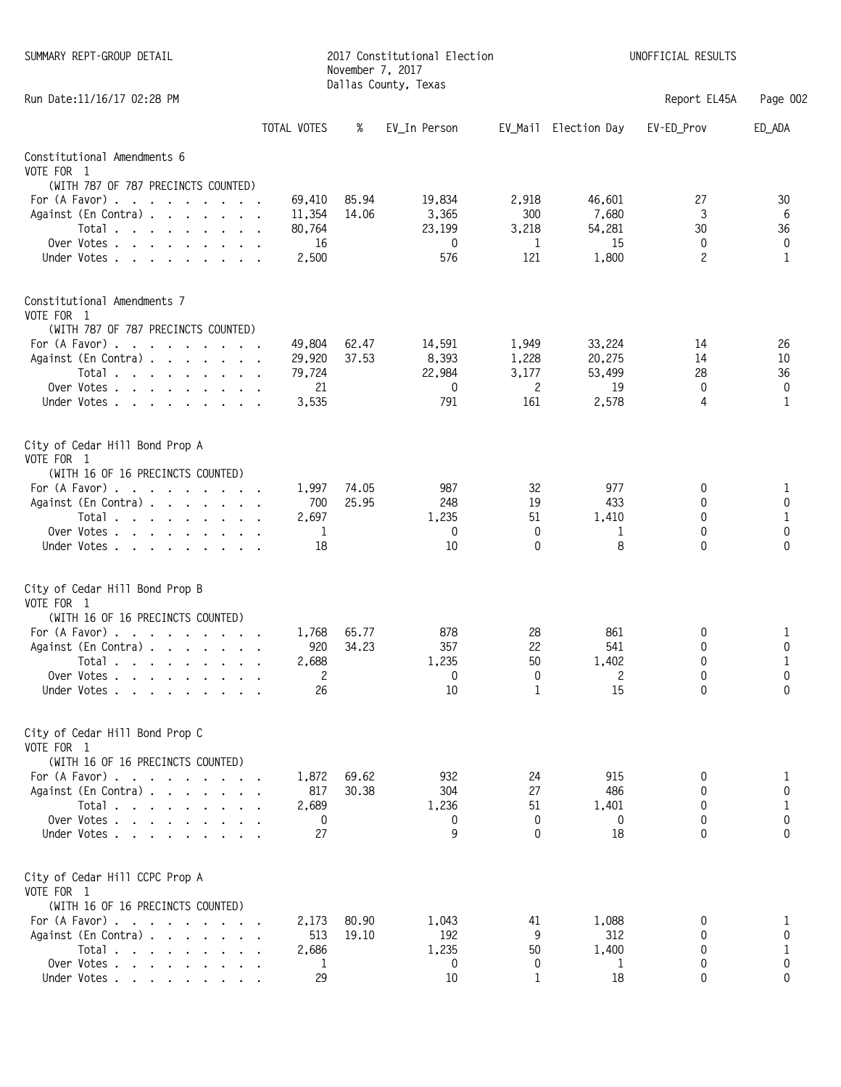| SUMMARY REPT-GROUP DETAIL                                                         |                  | November 7, 2017 | 2017 Constitutional Election<br>Dallas County, Texas |                |                      | UNOFFICIAL RESULTS |                   |
|-----------------------------------------------------------------------------------|------------------|------------------|------------------------------------------------------|----------------|----------------------|--------------------|-------------------|
| Run Date: 11/16/17 02:28 PM                                                       |                  |                  |                                                      |                |                      | Report EL45A       | Page 002          |
|                                                                                   | TOTAL VOTES      | %                | EV_In Person                                         |                | EV_Mail Election Day | EV-ED_Prov         | ED_ADA            |
| Constitutional Amendments 6                                                       |                  |                  |                                                      |                |                      |                    |                   |
| VOTE FOR 1                                                                        |                  |                  |                                                      |                |                      |                    |                   |
| (WITH 787 OF 787 PRECINCTS COUNTED)                                               |                  |                  |                                                      |                |                      |                    |                   |
| For (A Favor)                                                                     | 69,410           | 85.94<br>14.06   | 19,834                                               | 2,918<br>300   | 46,601<br>7,680      | 27<br>3            | 30                |
| Against (En Contra)<br>Total $\ldots$ $\ldots$ $\ldots$ $\ldots$                  | 11,354<br>80,764 |                  | 3,365<br>23,199                                      | 3,218          | 54,281               | 30                 | 6<br>36           |
| Over Votes                                                                        | 16               |                  | 0                                                    | 1              | 15                   | 0                  | 0                 |
| Under Votes                                                                       | 2,500            |                  | 576                                                  | 121            | 1,800                | $\overline{c}$     | 1                 |
| Constitutional Amendments 7<br>VOTE FOR 1                                         |                  |                  |                                                      |                |                      |                    |                   |
| (WITH 787 OF 787 PRECINCTS COUNTED)                                               |                  | 62.47            | 14,591                                               |                | 33,224               |                    |                   |
| For (A Favor)<br>Against (En Contra)                                              | 49,804<br>29,920 | 37.53            | 8,393                                                | 1,949<br>1,228 | 20,275               | 14<br>14           | 26<br>10          |
| Total                                                                             | 79,724           |                  | 22,984                                               | 3,177          | 53,499               | 28                 | 36                |
| Over Votes                                                                        | 21               |                  | 0                                                    | 2              | 19                   | 0                  | 0                 |
| Under Votes                                                                       | 3,535            |                  | 791                                                  | 161            | 2,578                | 4                  | 1                 |
| City of Cedar Hill Bond Prop A<br>VOTE FOR 1                                      |                  |                  |                                                      |                |                      |                    |                   |
| (WITH 16 OF 16 PRECINCTS COUNTED)                                                 |                  |                  |                                                      |                |                      |                    |                   |
| For (A Favor)                                                                     | 1,997            | 74.05            | 987                                                  | 32             | 977                  | 0                  | 1                 |
| Against (En Contra)                                                               | 700<br>2,697     | 25.95            | 248<br>1,235                                         | 19<br>51       | 433<br>1,410         | 0<br>0             | 0<br>$\mathbf{1}$ |
| Total<br>Over Votes                                                               | -1               |                  | 0                                                    | 0              | 1                    | 0                  | 0                 |
| Under Votes                                                                       | 18               |                  | 10                                                   | 0              | 8                    | $\Omega$           | $\Omega$          |
| City of Cedar Hill Bond Prop B<br>VOTE FOR 1<br>(WITH 16 OF 16 PRECINCTS COUNTED) |                  |                  |                                                      |                |                      |                    |                   |
| For $(A$ Favor) $\ldots$ $\ldots$ $\ldots$ $\ldots$                               | 1,768            | 65.77            | 878                                                  | 28             | 861                  | 0                  | $\mathbf{1}$      |
| Against (En Contra)                                                               | 920              | 34.23            | 357                                                  | 22             | 541                  | 0                  | 0                 |
| Total                                                                             | 2.688            |                  | 1,235                                                | 50             | 1,402                | <sup>0</sup>       |                   |
| Over Votes                                                                        | 2                |                  | 0                                                    | 0              | 2                    | 0                  | 0                 |
| Under Votes.<br>$\cdot$ $\cdot$ $\cdot$ $\cdot$ $\cdot$ $\cdot$ $\cdot$           | 26               |                  | 10                                                   | 1              | 15                   | $\mathbf{0}$       | 0                 |
| City of Cedar Hill Bond Prop C<br>VOTE FOR 1                                      |                  |                  |                                                      |                |                      |                    |                   |
| (WITH 16 OF 16 PRECINCTS COUNTED)                                                 |                  |                  |                                                      |                |                      |                    |                   |
| For $(A$ Favor) $\ldots$ $\ldots$ $\ldots$ $\ldots$<br>Against (En Contra)        | 1,872<br>817     | 69.62<br>30.38   | 932<br>304                                           | 24<br>27       | 915<br>486           | 0<br>0             | 1<br>0            |
| Total                                                                             | 2,689            |                  | 1,236                                                | 51             | 1,401                | 0                  | $\mathbf{1}$      |
| Over Votes                                                                        | 0                |                  | 0                                                    | 0              | 0                    | 0                  | 0                 |
| Under Votes                                                                       | 27               |                  | 9                                                    | 0              | 18                   | 0                  | $\Omega$          |
| City of Cedar Hill CCPC Prop A<br>VOTE FOR 1                                      |                  |                  |                                                      |                |                      |                    |                   |
| (WITH 16 OF 16 PRECINCTS COUNTED)                                                 |                  |                  |                                                      |                |                      |                    |                   |
| For $(A$ Favor) $\ldots$ $\ldots$ $\ldots$ $\ldots$                               | 2,173            | 80.90            | 1,043                                                | 41             | 1,088                | 0                  | 1                 |
| Against (En Contra)                                                               | 513              | 19.10            | 192                                                  | 9              | 312                  | 0                  | 0                 |
| Total                                                                             | 2,686            |                  | 1,235<br>0                                           | 50<br>0        | 1,400<br>1           | 0<br>0             | 1<br>0            |
| Over Votes<br>Under Votes                                                         | 1<br>29          |                  | 10                                                   | 1              | 18                   | 0                  | 0                 |
|                                                                                   |                  |                  |                                                      |                |                      |                    |                   |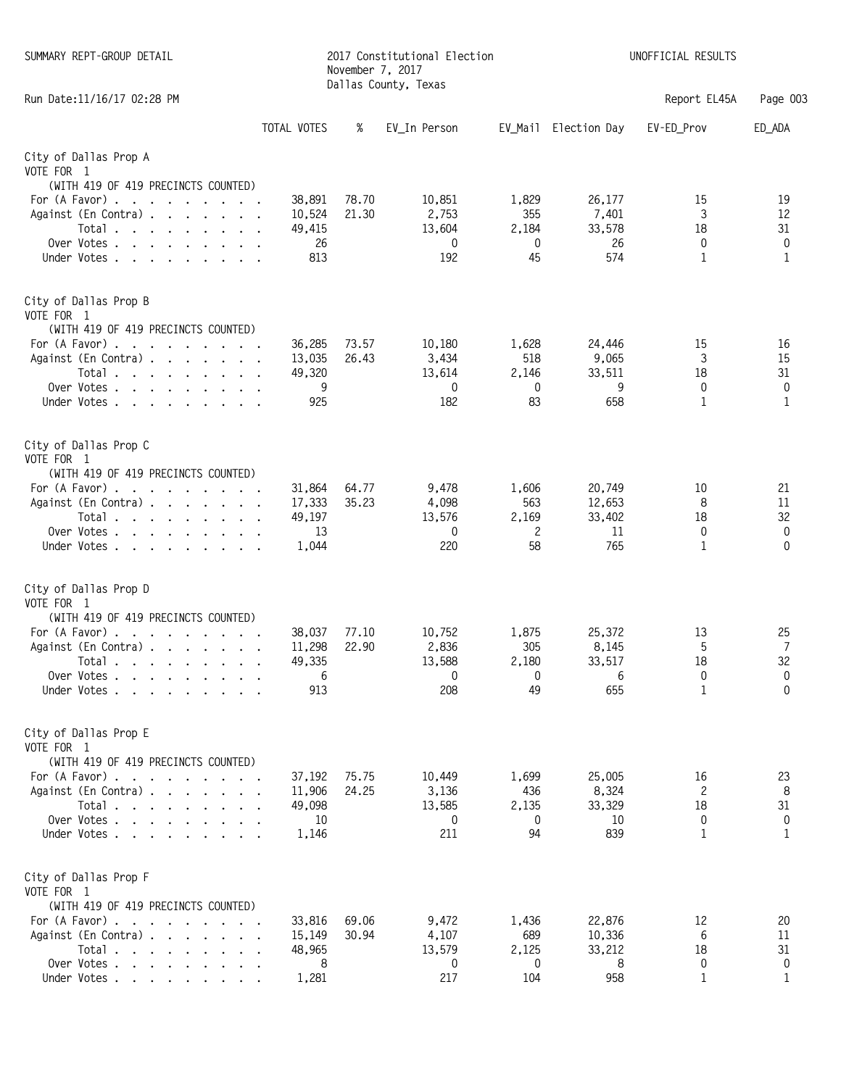| SUMMARY REPT-GROUP DETAIL                                                                  |                  | November 7, 2017 | 2017 Constitutional Election<br>Dallas County, Texas | UNOFFICIAL RESULTS |                      |              |              |
|--------------------------------------------------------------------------------------------|------------------|------------------|------------------------------------------------------|--------------------|----------------------|--------------|--------------|
| Run Date: 11/16/17 02:28 PM                                                                |                  |                  |                                                      |                    |                      | Report EL45A | Page 003     |
|                                                                                            | TOTAL VOTES      | %                | EV_In Person                                         |                    | EV_Mail Election Day | EV-ED_Prov   | ED_ADA       |
| City of Dallas Prop A                                                                      |                  |                  |                                                      |                    |                      |              |              |
| VOTE FOR 1                                                                                 |                  |                  |                                                      |                    |                      |              |              |
| (WITH 419 OF 419 PRECINCTS COUNTED)                                                        |                  |                  |                                                      |                    |                      |              |              |
| For (A Favor)                                                                              | 38,891           | 78.70            | 10,851                                               | 1,829              | 26,177               | 15           | 19           |
| Against (En Contra)<br>Total                                                               | 10,524<br>49,415 | 21.30            | 2,753<br>13,604                                      | 355<br>2,184       | 7,401<br>33,578      | 3<br>18      | 12<br>31     |
| Over Votes                                                                                 | 26               |                  | 0                                                    | 0                  | 26                   | 0            | 0            |
| Under Votes.                                                                               | 813              |                  | 192                                                  | 45                 | 574                  | 1            | 1            |
| City of Dallas Prop B<br>VOTE FOR 1                                                        |                  |                  |                                                      |                    |                      |              |              |
| (WITH 419 OF 419 PRECINCTS COUNTED)                                                        |                  |                  |                                                      |                    |                      |              |              |
| For (A Favor)                                                                              | 36,285           | 73.57            | 10,180                                               | 1,628              | 24,446               | 15           | 16           |
| Against (En Contra)<br>Total                                                               | 13,035<br>49,320 | 26.43            | 3,434<br>13,614                                      | 518<br>2,146       | 9,065<br>33,511      | 3<br>18      | 15<br>31     |
| Over Votes                                                                                 | 9                |                  | 0                                                    | 0                  | 9                    | 0            | 0            |
| Under Votes                                                                                | 925              |                  | 182                                                  | 83                 | 658                  | $\mathbf{1}$ | $\mathbf{1}$ |
| City of Dallas Prop C<br>VOTE FOR 1<br>(WITH 419 OF 419 PRECINCTS COUNTED)                 |                  |                  |                                                      |                    |                      |              |              |
| For $(A$ Favor) $\ldots$ $\ldots$ $\ldots$ $\ldots$                                        | 31,864           | 64.77            | 9,478                                                | 1,606              | 20,749               | 10           | 21           |
| Against (En Contra)                                                                        | 17,333           | 35.23            | 4,098                                                | 563                | 12,653               | 8            | 11           |
| Total                                                                                      | 49,197           |                  | 13,576                                               | 2,169              | 33,402               | 18           | 32           |
| Over Votes                                                                                 | 13               |                  | 0                                                    | 2                  | 11                   | 0            | 0            |
| Under Votes                                                                                | 1,044            |                  | 220                                                  | 58                 | 765                  | 1            | $\mathbf{0}$ |
| City of Dallas Prop D<br>VOTE FOR 1<br>(WITH 419 OF 419 PRECINCTS COUNTED)                 |                  |                  |                                                      |                    |                      |              |              |
| For $(A$ Favor) $\ldots$ $\ldots$ $\ldots$ $\ldots$                                        | 38,037           | 77.10            | 10,752                                               | 1,875              | 25,372               | 13           | 25           |
| Against (En Contra)                                                                        | 11,298           | 22.90            | 2,836                                                | 305                | 8,145                | 5            | 7            |
| Total<br>Over Votes                                                                        | 49.335<br>6      |                  | 13,588<br>0                                          | 2,180<br>0         | 33.517<br>6          | 18<br>0      | 32<br>0      |
| Under Votes .<br>$\mathbf{r}$ , $\mathbf{r}$ , $\mathbf{r}$ , $\mathbf{r}$                 | 913              |                  | 208                                                  | 49                 | 655                  | $\mathbf{1}$ | 0            |
| City of Dallas Prop E<br>VOTE FOR 1                                                        |                  |                  |                                                      |                    |                      |              |              |
| (WITH 419 OF 419 PRECINCTS COUNTED)<br>For $(A$ Favor) $\ldots$ $\ldots$ $\ldots$ $\ldots$ | 37,192           | 75.75            | 10,449                                               | 1,699              | 25,005               | 16           | 23           |
| Against (En Contra)                                                                        | 11,906           | 24.25            | 3,136                                                | 436                | 8,324                | 2            | 8            |
| Total                                                                                      | 49,098           |                  | 13,585                                               | 2,135              | 33,329               | 18           | 31           |
| Over Votes                                                                                 | 10               |                  | 0                                                    | 0                  | 10                   | 0            | 0            |
| Under Votes.                                                                               | 1,146            |                  | 211                                                  | 94                 | 839                  | 1            | 1            |
| City of Dallas Prop F<br>VOTE FOR 1<br>(WITH 419 OF 419 PRECINCTS COUNTED)                 |                  |                  |                                                      |                    |                      |              |              |
| For (A Favor)                                                                              | 33,816           | 69.06            | 9,472                                                | 1,436              | 22,876               | 12           | 20           |
| Against (En Contra)                                                                        | 15,149           | 30.94            | 4,107                                                | 689                | 10,336               | 6            | 11           |
| Total                                                                                      | 48,965           |                  | 13,579                                               | 2,125              | 33,212               | 18           | 31           |
| Over Votes                                                                                 | 8                |                  | 0                                                    | 0                  | 8                    | 0            | 0            |
| Under Votes                                                                                | 1,281            |                  | 217                                                  | 104                | 958                  | 1            | 1            |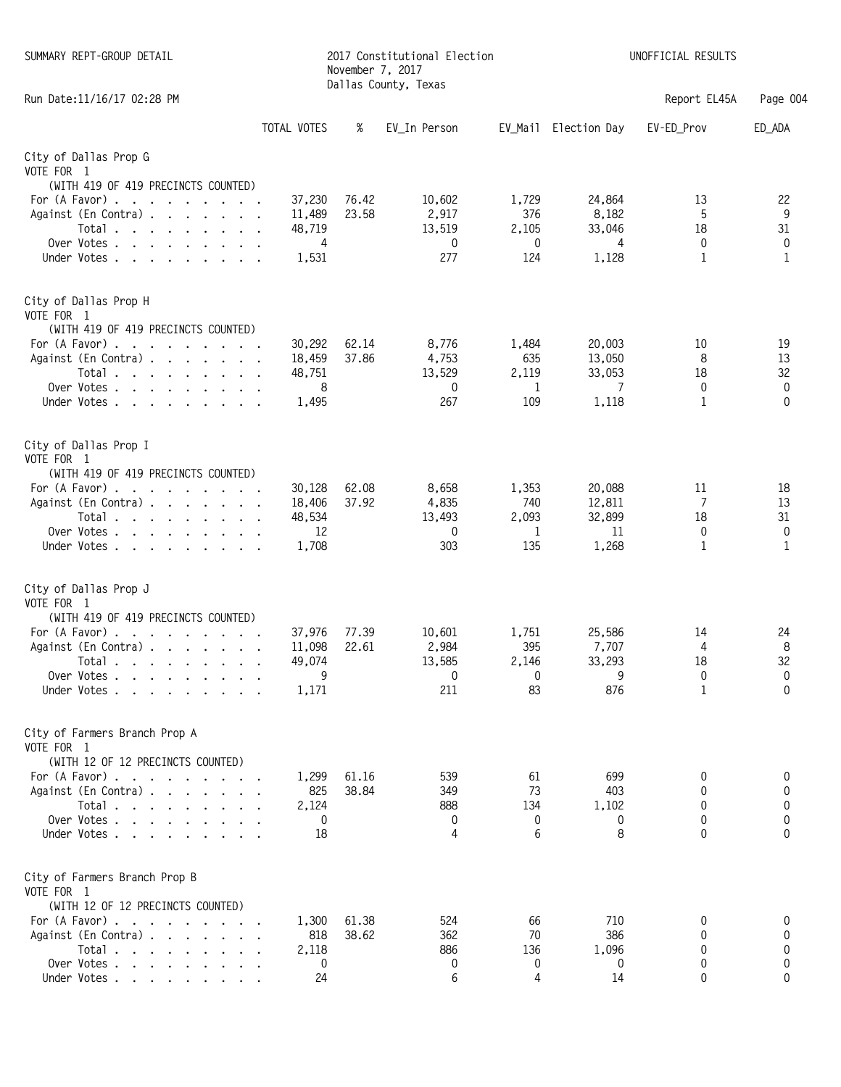| SUMMARY REPT-GROUP DETAIL                                                                                                                                                   |                  | November 7, 2017 | 2017 Constitutional Election<br>Dallas County, Texas |              |                      | UNOFFICIAL RESULTS |          |
|-----------------------------------------------------------------------------------------------------------------------------------------------------------------------------|------------------|------------------|------------------------------------------------------|--------------|----------------------|--------------------|----------|
| Run Date: 11/16/17 02:28 PM                                                                                                                                                 |                  |                  |                                                      |              |                      | Report EL45A       | Page 004 |
|                                                                                                                                                                             | TOTAL VOTES      | %                | EV_In Person                                         |              | EV_Mail Election Day | EV-ED_Prov         | ED_ADA   |
| City of Dallas Prop G<br>VOTE FOR 1                                                                                                                                         |                  |                  |                                                      |              |                      |                    |          |
| (WITH 419 OF 419 PRECINCTS COUNTED)                                                                                                                                         |                  |                  |                                                      |              |                      |                    |          |
| For (A Favor)<br>Against (En Contra)                                                                                                                                        | 37,230           | 76.42<br>23.58   | 10,602                                               | 1,729<br>376 | 24,864               | 13<br>5            | 22<br>9  |
| Total $\cdots$ $\cdots$ $\cdots$ $\cdots$                                                                                                                                   | 11,489<br>48,719 |                  | 2,917<br>13,519                                      | 2,105        | 8,182<br>33,046      | 18                 | 31       |
| Over Votes $\cdots$ $\cdots$ $\cdots$ $\cdots$                                                                                                                              | $\overline{4}$   |                  | 0                                                    | 0            | 4                    | 0                  | 0        |
| Under Votes                                                                                                                                                                 | 1,531            |                  | 277                                                  | 124          | 1,128                | 1                  | 1        |
| City of Dallas Prop H<br>VOTE FOR 1                                                                                                                                         |                  |                  |                                                      |              |                      |                    |          |
| (WITH 419 OF 419 PRECINCTS COUNTED)                                                                                                                                         |                  |                  |                                                      |              |                      |                    |          |
| For (A Favor)<br>Against (En Contra)                                                                                                                                        | 30,292<br>18,459 | 62.14<br>37.86   | 8,776<br>4,753                                       | 1,484<br>635 | 20,003<br>13,050     | 10<br>8            | 19<br>13 |
| Total                                                                                                                                                                       | 48,751           |                  | 13,529                                               | 2,119        | 33,053               | 18                 | 32       |
| Over Votes                                                                                                                                                                  | 8                |                  | 0                                                    | 1            | 7                    | 0                  | 0        |
| Under Votes                                                                                                                                                                 | 1,495            |                  | 267                                                  | 109          | 1,118                | $\mathbf{1}$       | 0        |
| City of Dallas Prop I<br>VOTE FOR 1                                                                                                                                         |                  |                  |                                                      |              |                      |                    |          |
| (WITH 419 OF 419 PRECINCTS COUNTED)<br>For (A Favor)                                                                                                                        | 30,128           | 62.08            | 8,658                                                | 1,353        | 20,088               | 11                 | 18       |
| Against (En Contra)                                                                                                                                                         | 18,406           | 37.92            | 4,835                                                | 740          | 12,811               | 7                  | 13       |
| Total                                                                                                                                                                       | 48,534           |                  | 13,493                                               | 2,093        | 32,899               | 18                 | 31       |
| Over Votes                                                                                                                                                                  | 12               |                  | 0                                                    | 1            | 11                   | 0                  | 0        |
| Under Votes                                                                                                                                                                 | 1,708            |                  | 303                                                  | 135          | 1,268                | 1                  | 1        |
| City of Dallas Prop J<br>VOTE FOR 1<br>(WITH 419 OF 419 PRECINCTS COUNTED)                                                                                                  |                  |                  |                                                      |              |                      |                    |          |
| For (A Favor)                                                                                                                                                               | 37,976           | 77.39            | 10.601                                               | 1,751        | 25,586               | 14                 | 24       |
| Against (En Contra)                                                                                                                                                         | 11,098           | 22.61            | 2,984                                                | 395          | 7,707                | 4                  | 8        |
| Total,                                                                                                                                                                      | 49,074<br>9      |                  | 13,585<br>0                                          | 2,146<br>0   | 33,293<br>9          | 18<br>0            | 32<br>0  |
| Over Votes<br>Under Votes                                                                                                                                                   | 1,171            |                  | 211                                                  | 83           | 876                  | $\mathbf{1}$       | 0        |
| City of Farmers Branch Prop A<br>VOTE FOR 1                                                                                                                                 |                  |                  |                                                      |              |                      |                    |          |
| (WITH 12 OF 12 PRECINCTS COUNTED)                                                                                                                                           |                  |                  |                                                      |              |                      |                    |          |
| For (A Favor)<br>Against (En Contra)                                                                                                                                        | 1,299<br>825     | 61.16<br>38.84   | 539<br>349                                           | 61<br>73     | 699<br>403           | 0<br>0             | 0<br>0   |
| Total                                                                                                                                                                       | 2,124            |                  | 888                                                  | 134          | 1,102                | 0                  | 0        |
| Over Votes, $\overline{\phantom{a}}$ , $\overline{\phantom{a}}$ , $\overline{\phantom{a}}$ , $\overline{\phantom{a}}$ , $\overline{\phantom{a}}$ , $\overline{\phantom{a}}$ | 0                |                  | 0                                                    | 0            | 0                    | 0                  | 0        |
| Under Votes                                                                                                                                                                 | 18               |                  | 4                                                    | 6            | 8                    | 0                  | 0        |
| City of Farmers Branch Prop B<br>VOTE FOR 1<br>(WITH 12 OF 12 PRECINCTS COUNTED)                                                                                            |                  |                  |                                                      |              |                      |                    |          |
| For $(A$ Favor) $\ldots$ $\ldots$ $\ldots$ $\ldots$                                                                                                                         | 1,300            | 61.38            | 524                                                  | 66           | 710                  | 0                  | 0        |
| Against (En Contra)                                                                                                                                                         | 818              | 38.62            | 362                                                  | 70           | 386                  | 0                  | 0        |
| Total                                                                                                                                                                       | 2,118            |                  | 886                                                  | 136          | 1,096                | 0                  | 0        |
| Over Votes                                                                                                                                                                  | 0                |                  | 0                                                    | 0            | 0                    | 0                  | 0        |
| Under Votes                                                                                                                                                                 | 24               |                  | 6                                                    | 4            | 14                   | 0                  | 0        |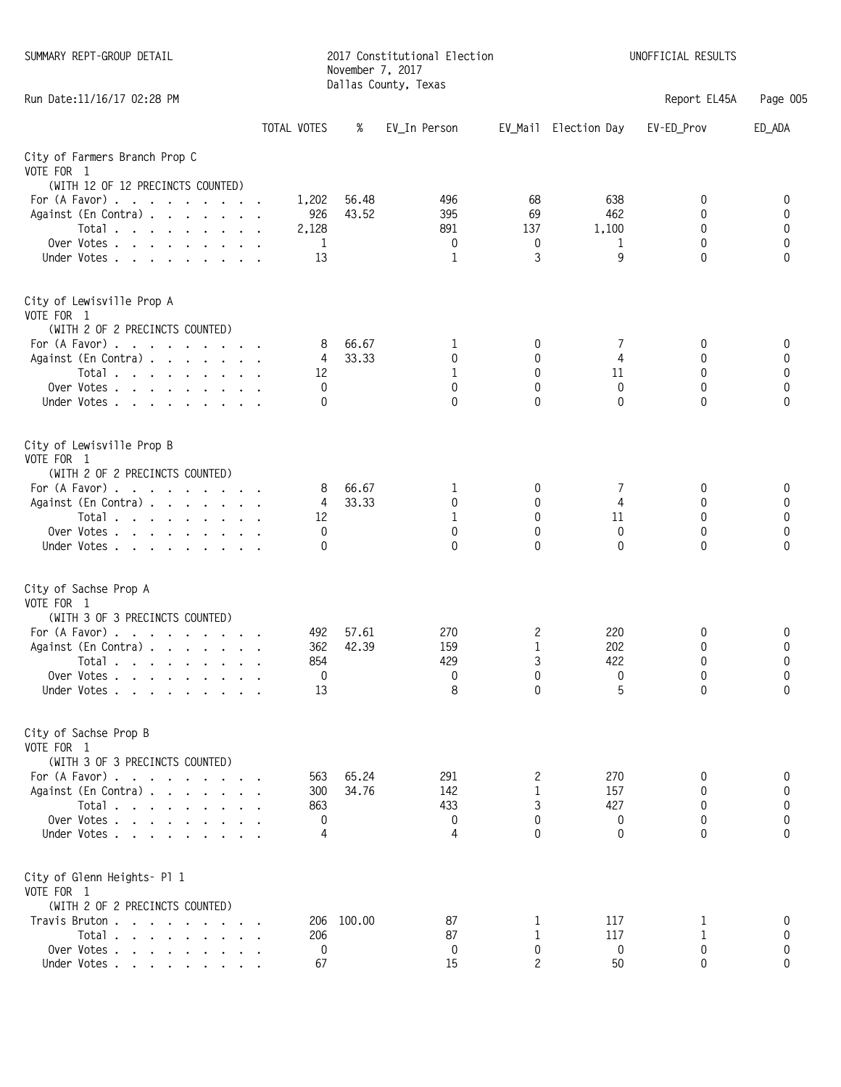| SUMMARY REPT-GROUP DETAIL                                                              |             | 2017 Constitutional Election<br>November 7, 2017<br>Dallas County, Texas |                |              |              |                      | UNOFFICIAL RESULTS |          |  |
|----------------------------------------------------------------------------------------|-------------|--------------------------------------------------------------------------|----------------|--------------|--------------|----------------------|--------------------|----------|--|
| Run Date: 11/16/17 02:28 PM                                                            |             |                                                                          |                |              |              |                      | Report EL45A       | Page 005 |  |
|                                                                                        | TOTAL VOTES |                                                                          | %              | EV_In Person |              | EV_Mail Election Day | EV-ED Prov         | ED_ADA   |  |
| City of Farmers Branch Prop C                                                          |             |                                                                          |                |              |              |                      |                    |          |  |
| VOTE FOR 1                                                                             |             |                                                                          |                |              |              |                      |                    |          |  |
| (WITH 12 OF 12 PRECINCTS COUNTED)                                                      |             |                                                                          |                |              |              |                      |                    |          |  |
| For (A Favor)<br>Against (En Contra)                                                   |             | 1,202<br>926                                                             | 56.48<br>43.52 | 496<br>395   | 68<br>69     | 638<br>462           | 0<br>0             | 0<br>0   |  |
| Total $\ldots$ $\ldots$ $\ldots$ $\ldots$                                              |             | 2,128                                                                    |                | 891          | 137          | 1,100                | 0                  | 0        |  |
| Over Votes                                                                             |             | 1                                                                        |                | 0            | 0            | 1                    | 0                  | 0        |  |
| Under Votes.                                                                           |             | 13                                                                       |                | 1            | 3            | 9                    | 0                  | 0        |  |
| City of Lewisville Prop A                                                              |             |                                                                          |                |              |              |                      |                    |          |  |
| VOTE FOR 1<br>(WITH 2 OF 2 PRECINCTS COUNTED)                                          |             |                                                                          |                |              |              |                      |                    |          |  |
| For $(A$ Favor) $\ldots$ $\ldots$ $\ldots$ $\ldots$                                    |             | 8                                                                        | 66.67          | 1            | 0            | 7                    | 0                  | 0        |  |
| Against (En Contra)                                                                    |             | 4                                                                        | 33.33          | 0            | 0            | $\overline{4}$       | 0                  | 0        |  |
| Total $\ldots$ $\ldots$ $\ldots$ $\ldots$                                              |             | 12                                                                       |                | 1            | $\mathbf{0}$ | 11                   | 0                  | 0        |  |
| Over Votes                                                                             |             | 0                                                                        |                | 0            | 0            | 0                    | 0                  | 0        |  |
| Under Votes                                                                            |             | $\Omega$                                                                 |                | $\Omega$     | $\Omega$     | $\Omega$             | $\Omega$           | $\Omega$ |  |
| City of Lewisville Prop B<br>VOTE FOR 1                                                |             |                                                                          |                |              |              |                      |                    |          |  |
| (WITH 2 OF 2 PRECINCTS COUNTED)                                                        |             |                                                                          |                |              |              |                      |                    |          |  |
| For (A Favor)                                                                          |             | 8                                                                        | 66.67          | 1            | 0            | 7                    | 0                  | 0        |  |
| Against (En Contra)                                                                    |             | 4                                                                        | 33.33          | 0            | $\mathbf{0}$ | 4                    | 0                  | 0        |  |
| Total $\ldots$ $\ldots$ $\ldots$ $\ldots$                                              |             | 12                                                                       |                | 1            | $\mathbf 0$  | 11                   | 0                  | 0        |  |
| Over Votes<br>Under Votes.                                                             |             | 0<br>0                                                                   |                | 0<br>0       | 0<br>0       | 0<br>$\Omega$        | 0<br>$\Omega$      | 0<br>0   |  |
|                                                                                        |             |                                                                          |                |              |              |                      |                    |          |  |
| City of Sachse Prop A                                                                  |             |                                                                          |                |              |              |                      |                    |          |  |
| VOTE FOR 1                                                                             |             |                                                                          |                |              |              |                      |                    |          |  |
| (WITH 3 OF 3 PRECINCTS COUNTED)<br>For (A Favor)                                       |             | 492                                                                      | 57.61          | 270          | 2            | 220                  |                    | 0        |  |
| Against (En Contra)                                                                    |             | 362                                                                      | 42.39          | 159          | 1            | 202                  | 0<br>0             | 0        |  |
| . Total                                                                                |             | 854                                                                      |                | 429          | 3            | 422                  | 0                  | 0        |  |
| Over Votes                                                                             |             | 0                                                                        |                | 0            | 0            | 0                    | 0                  | 0        |  |
| Under Votes                                                                            |             | 13                                                                       |                | 8            | $\Omega$     | 5                    | $\Omega$           | $\Omega$ |  |
| City of Sachse Prop B                                                                  |             |                                                                          |                |              |              |                      |                    |          |  |
| VOTE FOR 1                                                                             |             |                                                                          |                |              |              |                      |                    |          |  |
| (WITH 3 OF 3 PRECINCTS COUNTED)<br>For $(A$ Favor) $\ldots$ $\ldots$ $\ldots$ $\ldots$ |             | 563                                                                      | 65.24          | 291          | 2            | 270                  | 0                  | 0        |  |
| Against (En Contra)                                                                    |             | 300                                                                      | 34.76          | 142          | 1            | 157                  | 0                  | 0        |  |
| Total $\ldots$ $\ldots$ $\ldots$ $\ldots$                                              |             | 863                                                                      |                | 433          | 3            | 427                  | 0                  | 0        |  |
| Over Votes                                                                             |             | 0                                                                        |                | 0            | 0            | 0                    | 0                  | 0        |  |
| Under Votes.                                                                           |             | 4                                                                        |                | 4            | 0            | 0                    | 0                  | 0        |  |
| City of Glenn Heights- Pl 1                                                            |             |                                                                          |                |              |              |                      |                    |          |  |
| VOTE FOR 1<br>(WITH 2 OF 2 PRECINCTS COUNTED)                                          |             |                                                                          |                |              |              |                      |                    |          |  |
| Travis Bruton                                                                          |             | 206                                                                      | 100.00         | 87           |              | 117                  | T                  | 0        |  |
| Total                                                                                  |             | 206                                                                      |                | 87           | 1            | 117                  | 1                  | 0        |  |
| Over Votes                                                                             |             | 0                                                                        |                | 0            | 0            | 0                    | 0                  | 0        |  |
| Under Votes                                                                            |             | 67                                                                       |                | 15           | 2            | 50                   | 0                  | 0        |  |